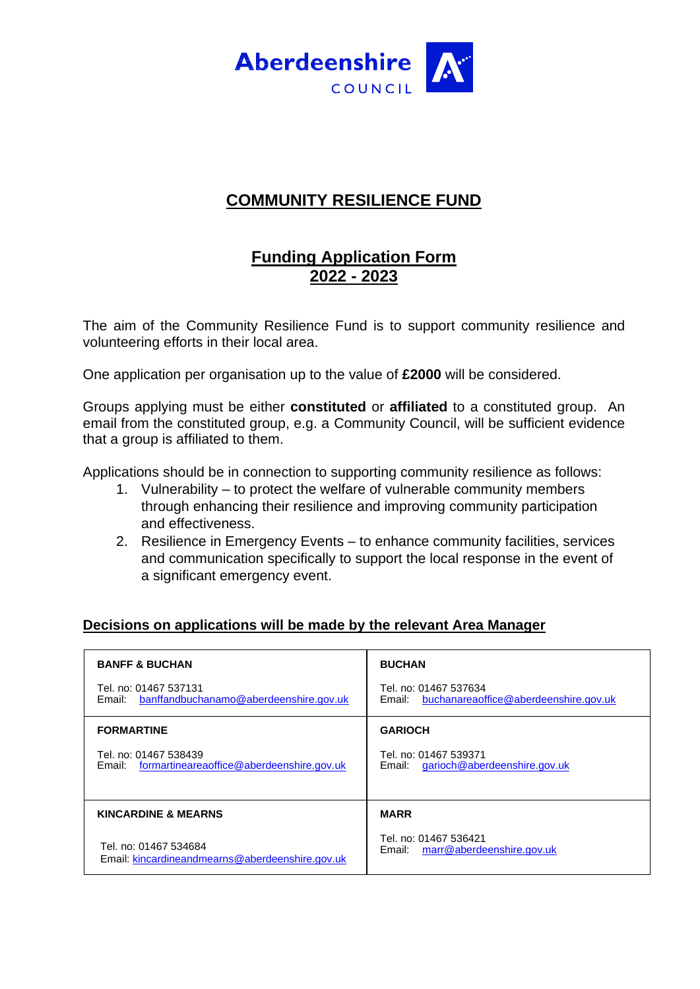

# **COMMUNITY RESILIENCE FUND**

# **Funding Application Form 2022 - 2023**

The aim of the Community Resilience Fund is to support community resilience and volunteering efforts in their local area.

One application per organisation up to the value of **£2000** will be considered.

Groups applying must be either **constituted** or **affiliated** to a constituted group. An email from the constituted group, e.g. a Community Council, will be sufficient evidence that a group is affiliated to them.

Applications should be in connection to supporting community resilience as follows:

- 1. Vulnerability to protect the welfare of vulnerable community members through enhancing their resilience and improving community participation and effectiveness.
- 2. Resilience in Emergency Events to enhance community facilities, services and communication specifically to support the local response in the event of a significant emergency event.

## **Decisions on applications will be made by the relevant Area Manager**

| <b>BANFF &amp; BUCHAN</b>                                                    | <b>BUCHAN</b>                                                            |
|------------------------------------------------------------------------------|--------------------------------------------------------------------------|
| Tel. no: 01467 537131<br>Email: banffandbuchanamo@aberdeenshire.gov.uk       | Tel. no: 01467 537634<br>buchanareaoffice@aberdeenshire.gov.uk<br>Email: |
| <b>FORMARTINE</b>                                                            | <b>GARIOCH</b>                                                           |
| Tel. no: 01467 538439<br>formartineareaoffice@aberdeenshire.gov.uk<br>Email: | Tel. no: 01467 539371<br>Email: garioch@aberdeenshire.gov.uk             |
| <b>KINCARDINE &amp; MEARNS</b>                                               | <b>MARR</b>                                                              |
| Tel. no: 01467 534684<br>Email: kincardineandmearns@aberdeenshire.gov.uk     | Tel. no: 01467 536421<br>Email: marr@aberdeenshire.gov.uk                |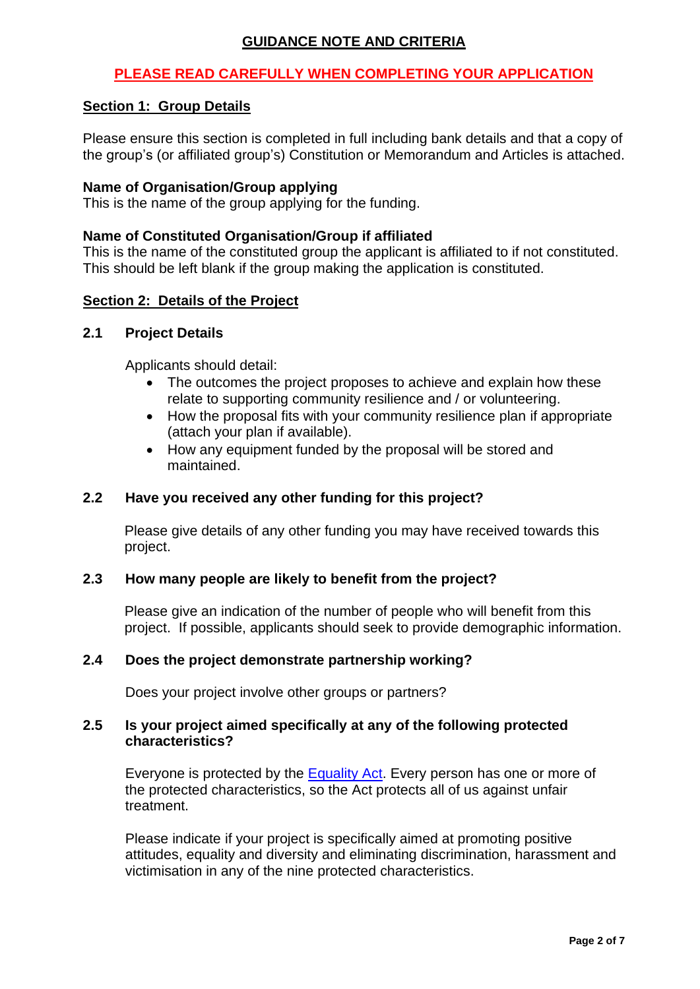## **GUIDANCE NOTE AND CRITERIA**

## **PLEASE READ CAREFULLY WHEN COMPLETING YOUR APPLICATION**

### **Section 1: Group Details**

Please ensure this section is completed in full including bank details and that a copy of the group's (or affiliated group's) Constitution or Memorandum and Articles is attached.

#### **Name of Organisation/Group applying**

This is the name of the group applying for the funding.

### **Name of Constituted Organisation/Group if affiliated**

This is the name of the constituted group the applicant is affiliated to if not constituted. This should be left blank if the group making the application is constituted.

### **Section 2: Details of the Project**

### **2.1 Project Details**

Applicants should detail:

- The outcomes the project proposes to achieve and explain how these relate to supporting community resilience and / or volunteering.
- How the proposal fits with your community resilience plan if appropriate (attach your plan if available).
- How any equipment funded by the proposal will be stored and maintained.

## **2.2 Have you received any other funding for this project?**

Please give details of any other funding you may have received towards this project.

#### **2.3 How many people are likely to benefit from the project?**

Please give an indication of the number of people who will benefit from this project. If possible, applicants should seek to provide demographic information.

#### **2.4 Does the project demonstrate partnership working?**

Does your project involve other groups or partners?

#### **2.5 Is your project aimed specifically at any of the following protected characteristics?**

Everyone is protected by the [Equality Act.](http://www.legislation.gov.uk/ssi/2012/162/contents/made) Every person has one or more of the protected characteristics, so the Act protects all of us against unfair treatment.

Please indicate if your project is specifically aimed at promoting positive attitudes, equality and diversity and eliminating discrimination, harassment and victimisation in any of the nine protected characteristics.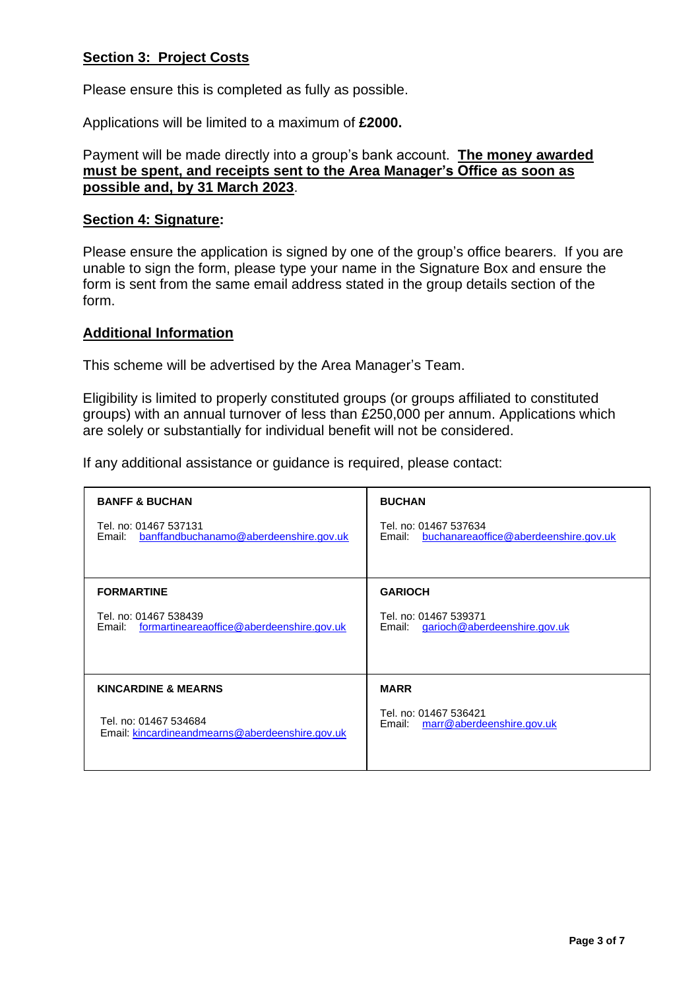## **Section 3: Project Costs**

Please ensure this is completed as fully as possible.

Applications will be limited to a maximum of **£2000.**

### Payment will be made directly into a group's bank account. **The money awarded must be spent, and receipts sent to the Area Manager's Office as soon as possible and, by 31 March 2023**.

### **Section 4: Signature:**

Please ensure the application is signed by one of the group's office bearers. If you are unable to sign the form, please type your name in the Signature Box and ensure the form is sent from the same email address stated in the group details section of the form.

### **Additional Information**

This scheme will be advertised by the Area Manager's Team.

Eligibility is limited to properly constituted groups (or groups affiliated to constituted groups) with an annual turnover of less than £250,000 per annum. Applications which are solely or substantially for individual benefit will not be considered.

If any additional assistance or guidance is required, please contact:

| <b>BANFF &amp; BUCHAN</b>                                                    | <b>BUCHAN</b>                                                         |
|------------------------------------------------------------------------------|-----------------------------------------------------------------------|
| Tel. no: 01467 537131<br>Email: banffandbuchanamo@aberdeenshire.gov.uk       | Tel. no: 01467 537634<br>Email: buchanareaoffice@aberdeenshire.gov.uk |
|                                                                              |                                                                       |
| <b>FORMARTINE</b>                                                            | <b>GARIOCH</b>                                                        |
| Tel. no: 01467 538439<br>formartineareaoffice@aberdeenshire.gov.uk<br>Email: | Tel. no: 01467 539371<br>garioch@aberdeenshire.gov.uk<br>Email:       |
|                                                                              |                                                                       |
| <b>KINCARDINE &amp; MEARNS</b>                                               | <b>MARR</b>                                                           |
| Tel. no: 01467 534684<br>Email: kincardineandmearns@aberdeenshire.gov.uk     | Tel. no: 01467 536421<br>marr@aberdeenshire.gov.uk<br>Email:          |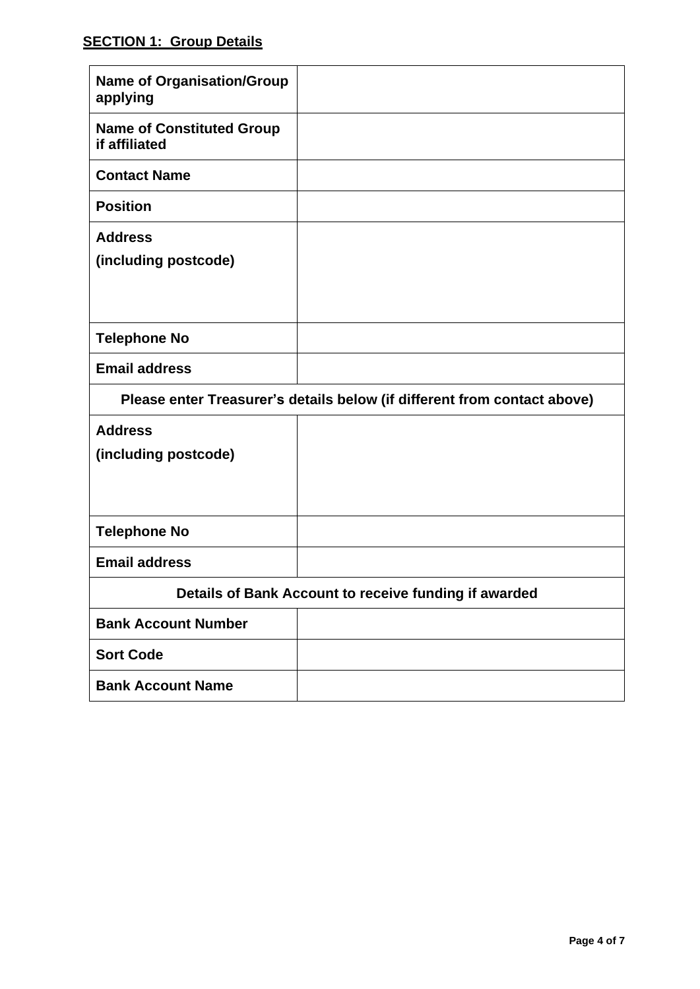# **SECTION 1: Group Details**

| <b>Name of Organisation/Group</b><br>applying                            |  |  |
|--------------------------------------------------------------------------|--|--|
| <b>Name of Constituted Group</b><br>if affiliated                        |  |  |
| <b>Contact Name</b>                                                      |  |  |
| <b>Position</b>                                                          |  |  |
| <b>Address</b><br>(including postcode)                                   |  |  |
| <b>Telephone No</b>                                                      |  |  |
| <b>Email address</b>                                                     |  |  |
| Please enter Treasurer's details below (if different from contact above) |  |  |
| <b>Address</b><br>(including postcode)                                   |  |  |
| <b>Telephone No</b>                                                      |  |  |
| <b>Email address</b>                                                     |  |  |
| Details of Bank Account to receive funding if awarded                    |  |  |
| <b>Bank Account Number</b>                                               |  |  |
| <b>Sort Code</b>                                                         |  |  |
|                                                                          |  |  |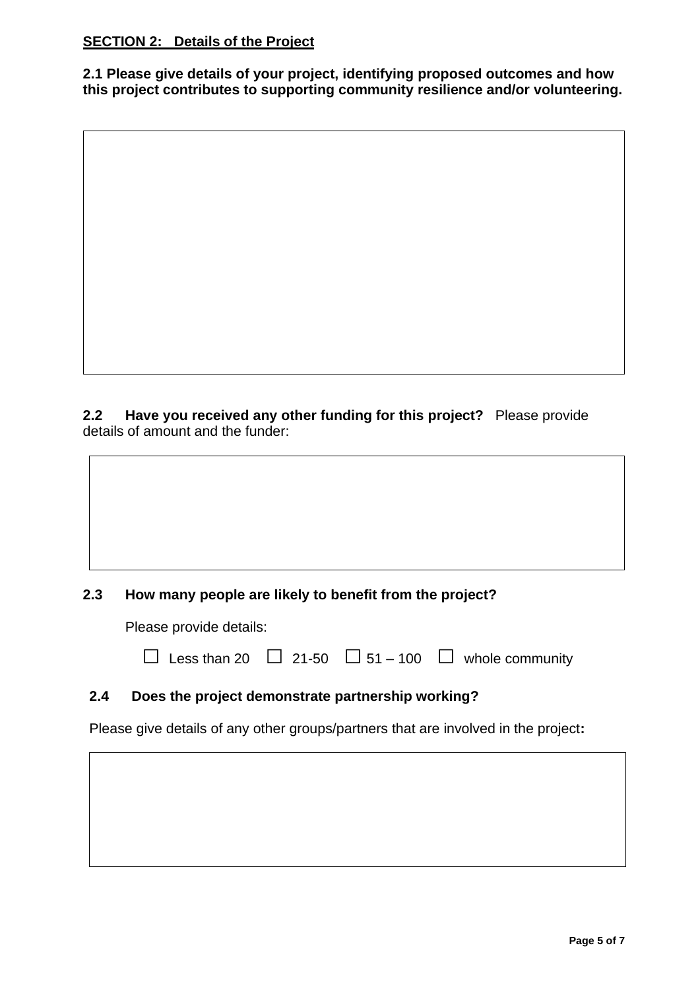## **SECTION 2: Details of the Project**

**2.1 Please give details of your project, identifying proposed outcomes and how this project contributes to supporting community resilience and/or volunteering.** 

**2.2 Have you received any other funding for this project?** Please provide details of amount and the funder:

## **2.3 How many people are likely to benefit from the project?**

Please provide details:

 $□$  Less than 20  $□$  21-50  $□$  51 – 100  $□$  whole community

## **2.4 Does the project demonstrate partnership working?**

Please give details of any other groups/partners that are involved in the project**:**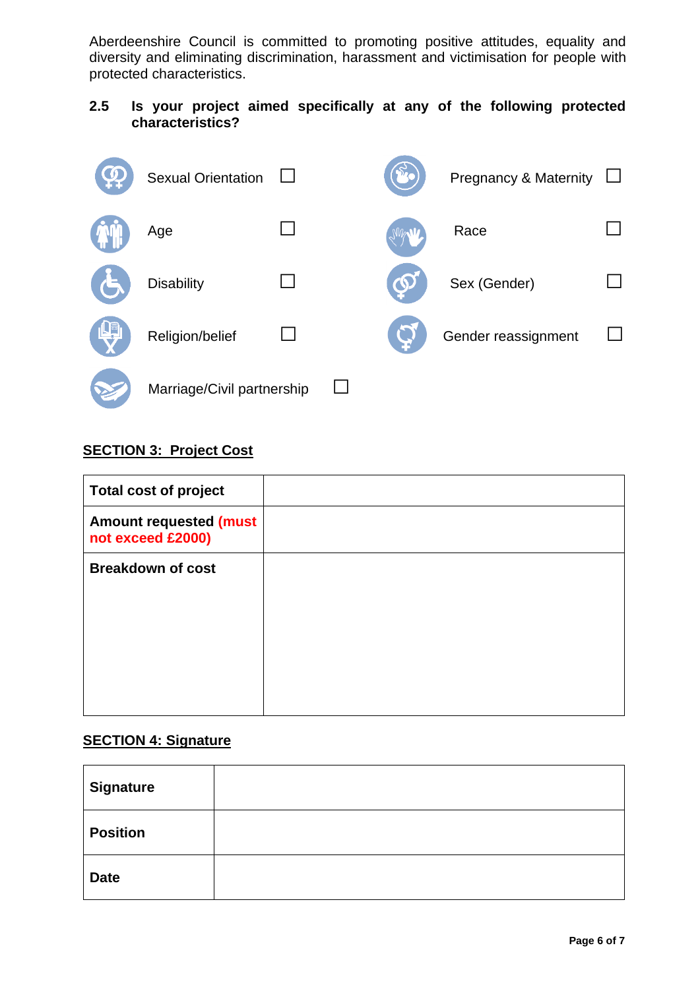Aberdeenshire Council is committed to promoting positive attitudes, equality and diversity and eliminating discrimination, harassment and victimisation for people with protected characteristics.

## **2.5 Is your project aimed specifically at any of the following protected characteristics?**



## **SECTION 3: Project Cost**

| <b>Total cost of project</b>                       |  |
|----------------------------------------------------|--|
| <b>Amount requested (must</b><br>not exceed £2000) |  |
| <b>Breakdown of cost</b>                           |  |
|                                                    |  |
|                                                    |  |
|                                                    |  |
|                                                    |  |

## **SECTION 4: Signature**

| <b>Signature</b> |  |
|------------------|--|
| <b>Position</b>  |  |
| <b>Date</b>      |  |